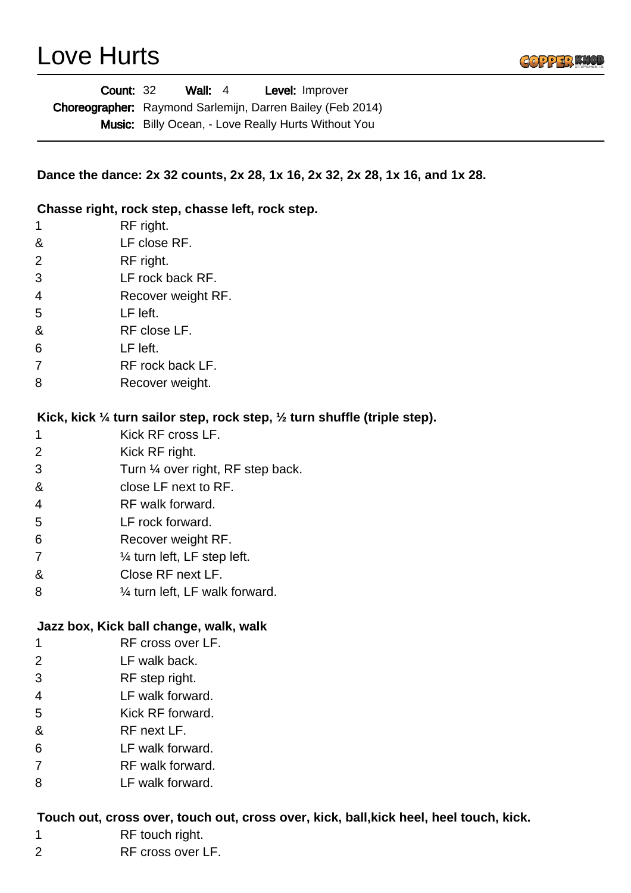## Love Hurts



|                | Wall: $4$<br><b>Count: 32</b><br>Level: Improver                                       |
|----------------|----------------------------------------------------------------------------------------|
|                | Choreographer: Raymond Sarlemijn, Darren Bailey (Feb 2014)                             |
|                | Music: Billy Ocean, - Love Really Hurts Without You                                    |
|                |                                                                                        |
|                | Dance the dance: 2x 32 counts, 2x 28, 1x 16, 2x 32, 2x 28, 1x 16, and 1x 28.           |
|                | Chasse right, rock step, chasse left, rock step.                                       |
| 1              | RF right.                                                                              |
| &              | LF close RF.                                                                           |
| 2              | RF right.                                                                              |
| 3              | LF rock back RF.                                                                       |
| 4              | Recover weight RF.                                                                     |
| 5              | LF left.                                                                               |
| &              | RF close LF.                                                                           |
| 6              | LF left.                                                                               |
| 7              | RF rock back LF.                                                                       |
| 8              | Recover weight.                                                                        |
|                | Kick, kick 1/4 turn sailor step, rock step, 1/2 turn shuffle (triple step).            |
| 1              | Kick RF cross LF.                                                                      |
| 2              | Kick RF right.                                                                         |
| 3              | Turn 1/4 over right, RF step back.                                                     |
| &              | close LF next to RF.                                                                   |
| 4              | RF walk forward.                                                                       |
| 5              | LF rock forward.                                                                       |
| 6              | Recover weight RF.                                                                     |
| $\overline{7}$ | $\frac{1}{4}$ turn left, LF step left.                                                 |
| &              | Close RF next LF.                                                                      |
| 8              | $\frac{1}{4}$ turn left, LF walk forward.                                              |
|                | Jazz box, Kick ball change, walk, walk                                                 |
| 1              | RF cross over LF.                                                                      |
| $\overline{2}$ | LF walk back.                                                                          |
| 3              | RF step right.                                                                         |
| 4              | LF walk forward.                                                                       |
| 5              | Kick RF forward.                                                                       |
| &              | RF next LF.                                                                            |
| 6              | LF walk forward.                                                                       |
| 7              | RF walk forward.                                                                       |
| 8              | LF walk forward.                                                                       |
|                | Touch out, cross over, touch out, cross over, kick, ball, kick heel, heel touch, kick. |

- RF touch right.
- RF cross over LF.